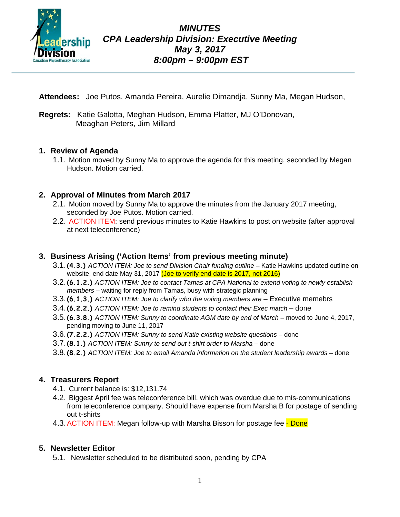

**Attendees:** Joe Putos, Amanda Pereira, Aurelie Dimandja, Sunny Ma, Megan Hudson,

**Regrets:** Katie Galotta, Meghan Hudson, Emma Platter, MJ O'Donovan, Meaghan Peters, Jim Millard

#### **1. Review of Agenda**

1.1. Motion moved by Sunny Ma to approve the agenda for this meeting, seconded by Megan Hudson. Motion carried.

## **2. Approval of Minutes from March 2017**

- 2.1. Motion moved by Sunny Ma to approve the minutes from the January 2017 meeting, seconded by Joe Putos. Motion carried.
- 2.2. ACTION ITEM: send previous minutes to Katie Hawkins to post on website (after approval at next teleconference)

### **3. Business Arising ('Action Items' from previous meeting minute)**

- 3.1.**(4.3.)** *ACTION ITEM: Joe to send Division Chair funding outline* Katie Hawkins updated outline on website, end date May 31, 2017 (Joe to verify end date is 2017, not 2016)
- 3.2.**(6.1.2.)** *ACTION ITEM: Joe to contact Tamas at CPA National to extend voting to newly establish members* – waiting for reply from Tamas, busy with strategic planning
- 3.3.**(6.1.3.)** *ACTION ITEM: Joe to clarify who the voting members are* Executive memebrs
- 3.4.**(6.2.2.)** *ACTION ITEM: Joe to remind students to contact their Exec match* done
- 3.5.**(6.3.8.)** *ACTION ITEM: Sunny to coordinate AGM date by end of March* moved to June 4, 2017, pending moving to June 11, 2017
- 3.6.**(7.2.2.)** *ACTION ITEM: Sunny to send Katie existing website questions* done
- 3.7.**(8.1.)** *ACTION ITEM: Sunny to send out t-shirt order to Marsha* done
- 3.8.**(8.2.)** *ACTION ITEM: Joe to email Amanda information on the student leadership awards* done

## **4. Treasurers Report**

- 4.1. Current balance is: \$12,131.74
- 4.2. Biggest April fee was teleconference bill, which was overdue due to mis-communications from teleconference company. Should have expense from Marsha B for postage of sending out t-shirts
- 4.3. ACTION ITEM: Megan follow-up with Marsha Bisson for postage fee Done

## **5. Newsletter Editor**

5.1. Newsletter scheduled to be distributed soon, pending by CPA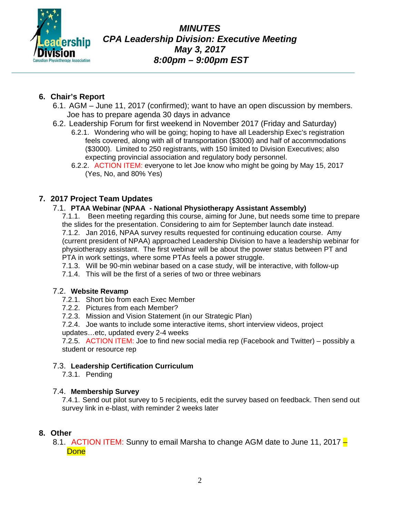

*MINUTES CPA Leadership Division: Executive Meeting May 3, 2017 8:00pm – 9:00pm EST*

## **6. Chair's Report**

- 6.1. AGM June 11, 2017 (confirmed); want to have an open discussion by members. Joe has to prepare agenda 30 days in advance
- 6.2. Leadership Forum for first weekend in November 2017 (Friday and Saturday)
	- 6.2.1. Wondering who will be going; hoping to have all Leadership Exec's registration feels covered, along with all of transportation (\$3000) and half of accommodations (\$3000). Limited to 250 registrants, with 150 limited to Division Executives; also expecting provincial association and regulatory body personnel.
	- 6.2.2. ACTION ITEM: everyone to let Joe know who might be going by May 15, 2017 (Yes, No, and 80% Yes)

## **7. 2017 Project Team Updates**

#### 7.1. **PTAA Webinar (NPAA - National Physiotherapy Assistant Assembly)**

7.1.1. Been meeting regarding this course, aiming for June, but needs some time to prepare the slides for the presentation. Considering to aim for September launch date instead. 7.1.2. Jan 2016, NPAA survey results requested for continuing education course. Amy (current president of NPAA) approached Leadership Division to have a leadership webinar for physiotherapy assistant. The first webinar will be about the power status between PT and PTA in work settings, where some PTAs feels a power struggle.

7.1.3. Will be 90-min webinar based on a case study, will be interactive, with follow-up

7.1.4. This will be the first of a series of two or three webinars

#### 7.2. **Website Revamp**

- 7.2.1. Short bio from each Exec Member
- 7.2.2. Pictures from each Member?
- 7.2.3. Mission and Vision Statement (in our Strategic Plan)
- 7.2.4. Joe wants to include some interactive items, short interview videos, project
- updates…etc, updated every 2-4 weeks

7.2.5. ACTION ITEM: Joe to find new social media rep (Facebook and Twitter) – possibly a student or resource rep

#### 7.3.**Leadership Certification Curriculum**

7.3.1. Pending

#### 7.4. **Membership Survey**

7.4.1. Send out pilot survey to 5 recipients, edit the survey based on feedback. Then send out survey link in e-blast, with reminder 2 weeks later

#### **8. Other**

8.1.ACTION ITEM: Sunny to email Marsha to change AGM date to June 11, 2017 – **Done**